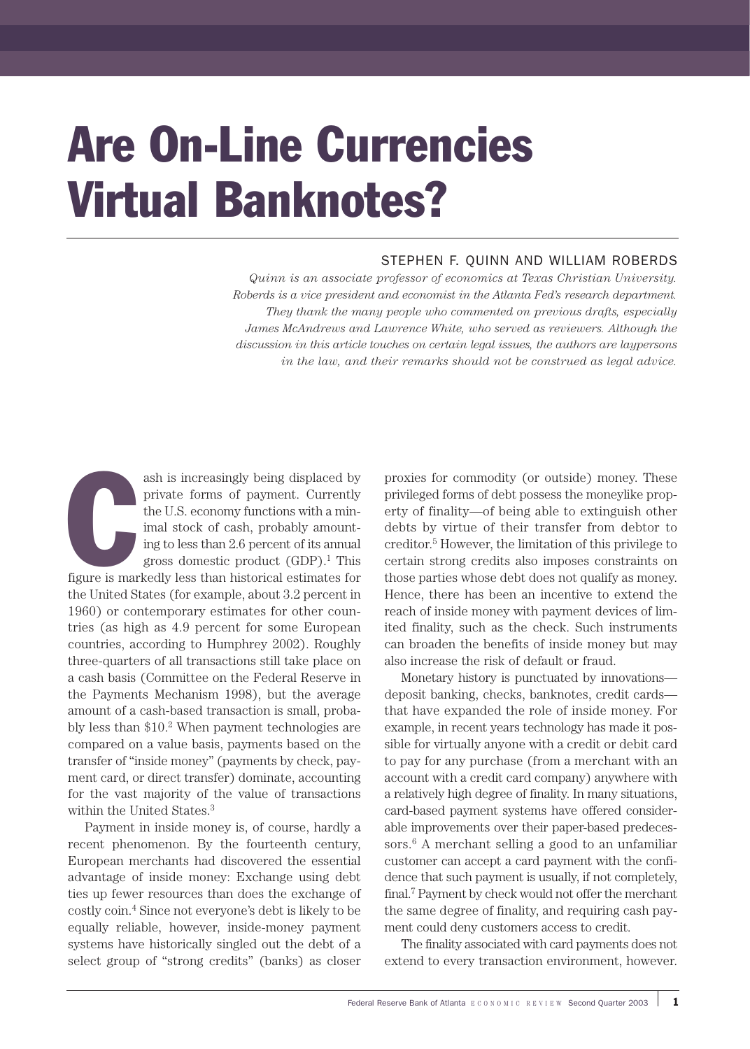# Are On-Line Currencies Virtual Banknotes?

# STEPHEN F. QUINN AND WILLIAM ROBERDS

*Quinn is an associate professor of economics at Texas Christian University. Roberds is a vice president and economist in the Atlanta Fed's research department. They thank the many people who commented on previous drafts, especially James McAndrews and Lawrence White, who served as reviewers. Although the discussion in this article touches on certain legal issues, the authors are laypersons in the law, and their remarks should not be construed as legal advice.*

**Contracted Service** is man ash is increasingly being displaced by private forms of payment. Currently the U.S. economy functions with a minimal stock of cash, probably amounting to less than 2.6 percent of its annual gross domestic product  $(GDP)^1$ . This figure is markedly less than historical estimates for the United States (for example, about 3.2 percent in 1960) or contemporary estimates for other countries (as high as 4.9 percent for some European countries, according to Humphrey 2002). Roughly three-quarters of all transactions still take place on a cash basis (Committee on the Federal Reserve in the Payments Mechanism 1998), but the average amount of a cash-based transaction is small, probably less than  $$10.<sup>2</sup>$  When payment technologies are compared on a value basis, payments based on the transfer of "inside money" (payments by check, payment card, or direct transfer) dominate, accounting for the vast majority of the value of transactions within the United States.<sup>3</sup>

Payment in inside money is, of course, hardly a recent phenomenon. By the fourteenth century, European merchants had discovered the essential advantage of inside money: Exchange using debt ties up fewer resources than does the exchange of costly coin.4 Since not everyone's debt is likely to be equally reliable, however, inside-money payment systems have historically singled out the debt of a select group of "strong credits" (banks) as closer

proxies for commodity (or outside) money. These privileged forms of debt possess the moneylike property of finality—of being able to extinguish other debts by virtue of their transfer from debtor to creditor.5 However, the limitation of this privilege to certain strong credits also imposes constraints on those parties whose debt does not qualify as money. Hence, there has been an incentive to extend the reach of inside money with payment devices of limited finality, such as the check. Such instruments can broaden the benefits of inside money but may also increase the risk of default or fraud.

Monetary history is punctuated by innovations deposit banking, checks, banknotes, credit cards that have expanded the role of inside money. For example, in recent years technology has made it possible for virtually anyone with a credit or debit card to pay for any purchase (from a merchant with an account with a credit card company) anywhere with a relatively high degree of finality. In many situations, card-based payment systems have offered considerable improvements over their paper-based predecessors. $6$  A merchant selling a good to an unfamiliar customer can accept a card payment with the confidence that such payment is usually, if not completely, final.7 Payment by check would not offer the merchant the same degree of finality, and requiring cash payment could deny customers access to credit.

The finality associated with card payments does not extend to every transaction environment, however.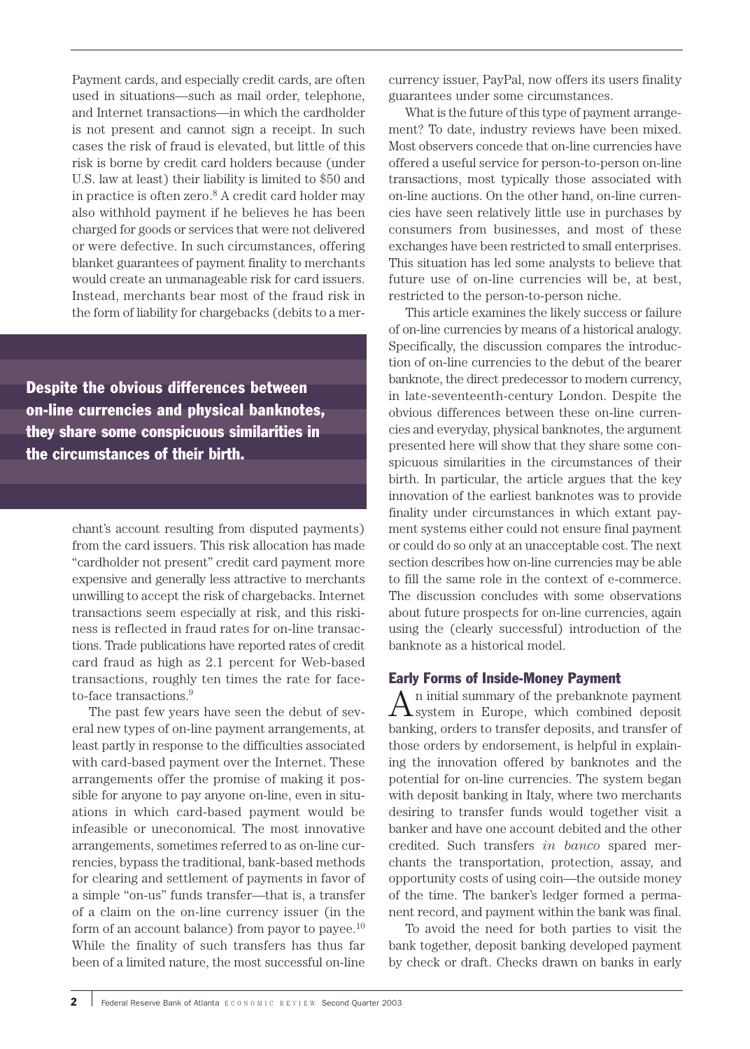Payment cards, and especially credit cards, are often used in situations—such as mail order, telephone, and Internet transactions—in which the cardholder is not present and cannot sign a receipt. In such cases the risk of fraud is elevated, but little of this risk is borne by credit card holders because (under U.S. law at least) their liability is limited to \$50 and in practice is often zero.8 A credit card holder may also withhold payment if he believes he has been charged for goods or services that were not delivered or were defective. In such circumstances, offering blanket guarantees of payment finality to merchants would create an unmanageable risk for card issuers. Instead, merchants bear most of the fraud risk in the form of liability for chargebacks (debits to a mer-

Despite the obvious differences between on-line currencies and physical banknotes, they share some conspicuous similarities in the circumstances of their birth.

> chant's account resulting from disputed payments) from the card issuers. This risk allocation has made "cardholder not present" credit card payment more expensive and generally less attractive to merchants unwilling to accept the risk of chargebacks. Internet transactions seem especially at risk, and this riskiness is reflected in fraud rates for on-line transactions. Trade publications have reported rates of credit card fraud as high as 2.1 percent for Web-based transactions, roughly ten times the rate for faceto-face transactions.<sup>9</sup>

> The past few years have seen the debut of several new types of on-line payment arrangements, at least partly in response to the difficulties associated with card-based payment over the Internet. These arrangements offer the promise of making it possible for anyone to pay anyone on-line, even in situations in which card-based payment would be infeasible or uneconomical. The most innovative arrangements, sometimes referred to as on-line currencies, bypass the traditional, bank-based methods for clearing and settlement of payments in favor of a simple "on-us" funds transfer—that is, a transfer of a claim on the on-line currency issuer (in the form of an account balance) from payor to payee. $10$ While the finality of such transfers has thus far been of a limited nature, the most successful on-line

currency issuer, PayPal, now offers its users finality guarantees under some circumstances.

What is the future of this type of payment arrangement? To date, industry reviews have been mixed. Most observers concede that on-line currencies have offered a useful service for person-to-person on-line transactions, most typically those associated with on-line auctions. On the other hand, on-line currencies have seen relatively little use in purchases by consumers from businesses, and most of these exchanges have been restricted to small enterprises. This situation has led some analysts to believe that future use of on-line currencies will be, at best, restricted to the person-to-person niche.

This article examines the likely success or failure of on-line currencies by means of a historical analogy. Specifically, the discussion compares the introduction of on-line currencies to the debut of the bearer banknote, the direct predecessor to modern currency, in late-seventeenth-century London. Despite the obvious differences between these on-line currencies and everyday, physical banknotes, the argument presented here will show that they share some conspicuous similarities in the circumstances of their birth. In particular, the article argues that the key innovation of the earliest banknotes was to provide finality under circumstances in which extant payment systems either could not ensure final payment or could do so only at an unacceptable cost. The next section describes how on-line currencies may be able to fill the same role in the context of e-commerce. The discussion concludes with some observations about future prospects for on-line currencies, again using the (clearly successful) introduction of the banknote as a historical model.

# Early Forms of Inside-Money Payment

 $A$ <sup>n</sup> initial summary of the prebanknote payment  $A$  system in Europe, which combined deposit banking, orders to transfer deposits, and transfer of those orders by endorsement, is helpful in explaining the innovation offered by banknotes and the potential for on-line currencies. The system began with deposit banking in Italy, where two merchants desiring to transfer funds would together visit a banker and have one account debited and the other credited. Such transfers *in banco* spared merchants the transportation, protection, assay, and opportunity costs of using coin—the outside money of the time. The banker's ledger formed a permanent record, and payment within the bank was final.

To avoid the need for both parties to visit the bank together, deposit banking developed payment by check or draft. Checks drawn on banks in early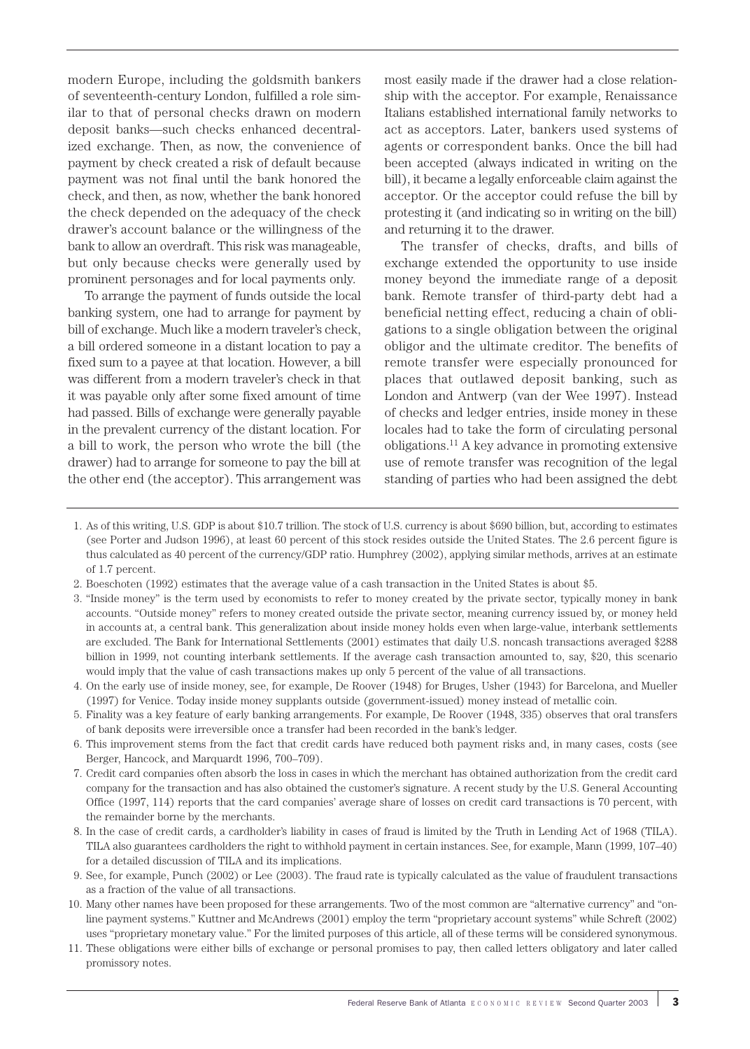modern Europe, including the goldsmith bankers of seventeenth-century London, fulfilled a role similar to that of personal checks drawn on modern deposit banks—such checks enhanced decentralized exchange. Then, as now, the convenience of payment by check created a risk of default because payment was not final until the bank honored the check, and then, as now, whether the bank honored the check depended on the adequacy of the check drawer's account balance or the willingness of the bank to allow an overdraft. This risk was manageable, but only because checks were generally used by prominent personages and for local payments only.

To arrange the payment of funds outside the local banking system, one had to arrange for payment by bill of exchange. Much like a modern traveler's check, a bill ordered someone in a distant location to pay a fixed sum to a payee at that location. However, a bill was different from a modern traveler's check in that it was payable only after some fixed amount of time had passed. Bills of exchange were generally payable in the prevalent currency of the distant location. For a bill to work, the person who wrote the bill (the drawer) had to arrange for someone to pay the bill at the other end (the acceptor). This arrangement was most easily made if the drawer had a close relationship with the acceptor. For example, Renaissance Italians established international family networks to act as acceptors. Later, bankers used systems of agents or correspondent banks. Once the bill had been accepted (always indicated in writing on the bill), it became a legally enforceable claim against the acceptor. Or the acceptor could refuse the bill by protesting it (and indicating so in writing on the bill) and returning it to the drawer.

The transfer of checks, drafts, and bills of exchange extended the opportunity to use inside money beyond the immediate range of a deposit bank. Remote transfer of third-party debt had a beneficial netting effect, reducing a chain of obligations to a single obligation between the original obligor and the ultimate creditor. The benefits of remote transfer were especially pronounced for places that outlawed deposit banking, such as London and Antwerp (van der Wee 1997). Instead of checks and ledger entries, inside money in these locales had to take the form of circulating personal obligations.11 A key advance in promoting extensive use of remote transfer was recognition of the legal standing of parties who had been assigned the debt

- 1. As of this writing, U.S. GDP is about \$10.7 trillion. The stock of U.S. currency is about \$690 billion, but, according to estimates (see Porter and Judson 1996), at least 60 percent of this stock resides outside the United States. The 2.6 percent figure is thus calculated as 40 percent of the currency/GDP ratio. Humphrey (2002), applying similar methods, arrives at an estimate of 1.7 percent.
- 2. Boeschoten (1992) estimates that the average value of a cash transaction in the United States is about \$5.
- 3. "Inside money" is the term used by economists to refer to money created by the private sector, typically money in bank accounts. "Outside money" refers to money created outside the private sector, meaning currency issued by, or money held in accounts at, a central bank. This generalization about inside money holds even when large-value, interbank settlements are excluded. The Bank for International Settlements (2001) estimates that daily U.S. noncash transactions averaged \$288 billion in 1999, not counting interbank settlements. If the average cash transaction amounted to, say, \$20, this scenario would imply that the value of cash transactions makes up only 5 percent of the value of all transactions.
- 4. On the early use of inside money, see, for example, De Roover (1948) for Bruges, Usher (1943) for Barcelona, and Mueller (1997) for Venice. Today inside money supplants outside (government-issued) money instead of metallic coin.
- 5. Finality was a key feature of early banking arrangements. For example, De Roover (1948, 335) observes that oral transfers of bank deposits were irreversible once a transfer had been recorded in the bank's ledger.
- 6. This improvement stems from the fact that credit cards have reduced both payment risks and, in many cases, costs (see Berger, Hancock, and Marquardt 1996, 700–709).
- 7. Credit card companies often absorb the loss in cases in which the merchant has obtained authorization from the credit card company for the transaction and has also obtained the customer's signature. A recent study by the U.S. General Accounting Office (1997, 114) reports that the card companies' average share of losses on credit card transactions is 70 percent, with the remainder borne by the merchants.
- 8. In the case of credit cards, a cardholder's liability in cases of fraud is limited by the Truth in Lending Act of 1968 (TILA). TILA also guarantees cardholders the right to withhold payment in certain instances. See, for example, Mann (1999, 107–40) for a detailed discussion of TILA and its implications.
- 9. See, for example, Punch (2002) or Lee (2003). The fraud rate is typically calculated as the value of fraudulent transactions as a fraction of the value of all transactions.
- 10. Many other names have been proposed for these arrangements. Two of the most common are "alternative currency" and "online payment systems." Kuttner and McAndrews (2001) employ the term "proprietary account systems" while Schreft (2002) uses "proprietary monetary value." For the limited purposes of this article, all of these terms will be considered synonymous.
- 11. These obligations were either bills of exchange or personal promises to pay, then called letters obligatory and later called promissory notes.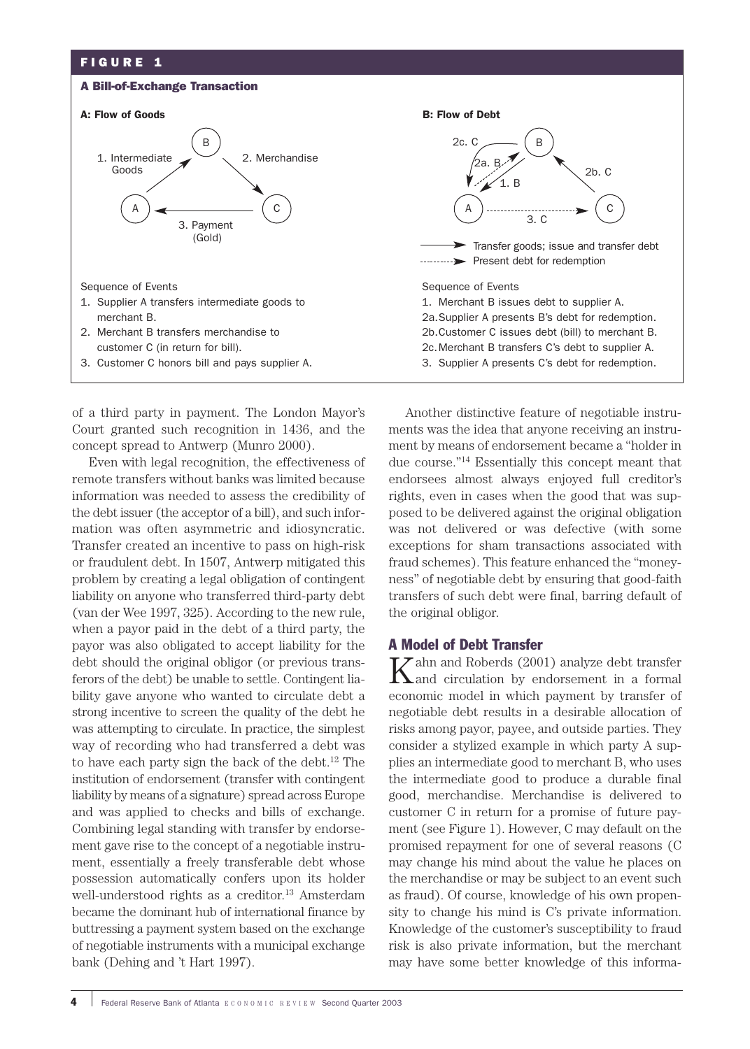# FIGURE 1

#### A Bill-of-Exchange Transaction

#### A: Flow of Goods **B: Flow of Debt B: Flow of Debt**



of a third party in payment. The London Mayor's Court granted such recognition in 1436, and the concept spread to Antwerp (Munro 2000).

Even with legal recognition, the effectiveness of remote transfers without banks was limited because information was needed to assess the credibility of the debt issuer (the acceptor of a bill), and such information was often asymmetric and idiosyncratic. Transfer created an incentive to pass on high-risk or fraudulent debt. In 1507, Antwerp mitigated this problem by creating a legal obligation of contingent liability on anyone who transferred third-party debt (van der Wee 1997, 325). According to the new rule, when a payor paid in the debt of a third party, the payor was also obligated to accept liability for the debt should the original obligor (or previous transferors of the debt) be unable to settle. Contingent liability gave anyone who wanted to circulate debt a strong incentive to screen the quality of the debt he was attempting to circulate. In practice, the simplest way of recording who had transferred a debt was to have each party sign the back of the debt.12 The institution of endorsement (transfer with contingent liability by means of a signature) spread across Europe and was applied to checks and bills of exchange. Combining legal standing with transfer by endorsement gave rise to the concept of a negotiable instrument, essentially a freely transferable debt whose possession automatically confers upon its holder well-understood rights as a creditor.<sup>13</sup> Amsterdam became the dominant hub of international finance by buttressing a payment system based on the exchange of negotiable instruments with a municipal exchange bank (Dehing and 't Hart 1997).



B

3. C

1. B

2a. B

 $2c.$  C

A

2b. C

exceptions for sham transactions associated with fraud schemes). This feature enhanced the "moneyness" of negotiable debt by ensuring that good-faith transfers of such debt were final, barring default of the original obligor.

## A Model of Debt Transfer

 $K$ ahn and Roberds (2001) analyze debt transfer<br>and circulation by endorsement in a formal economic model in which payment by transfer of negotiable debt results in a desirable allocation of risks among payor, payee, and outside parties. They consider a stylized example in which party A supplies an intermediate good to merchant B, who uses the intermediate good to produce a durable final good, merchandise. Merchandise is delivered to customer C in return for a promise of future payment (see Figure 1). However, C may default on the promised repayment for one of several reasons (C may change his mind about the value he places on the merchandise or may be subject to an event such as fraud). Of course, knowledge of his own propensity to change his mind is C's private information. Knowledge of the customer's susceptibility to fraud risk is also private information, but the merchant may have some better knowledge of this informa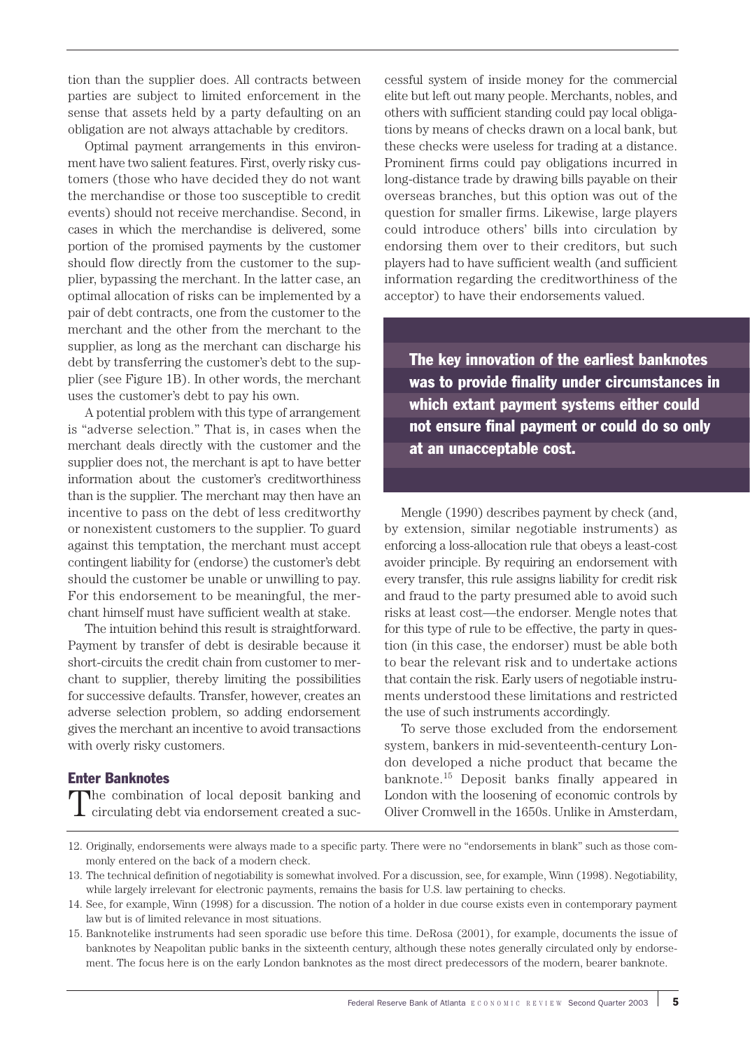tion than the supplier does. All contracts between parties are subject to limited enforcement in the sense that assets held by a party defaulting on an obligation are not always attachable by creditors.

Optimal payment arrangements in this environment have two salient features. First, overly risky customers (those who have decided they do not want the merchandise or those too susceptible to credit events) should not receive merchandise. Second, in cases in which the merchandise is delivered, some portion of the promised payments by the customer should flow directly from the customer to the supplier, bypassing the merchant. In the latter case, an optimal allocation of risks can be implemented by a pair of debt contracts, one from the customer to the merchant and the other from the merchant to the supplier, as long as the merchant can discharge his debt by transferring the customer's debt to the supplier (see Figure 1B). In other words, the merchant uses the customer's debt to pay his own.

A potential problem with this type of arrangement is "adverse selection." That is, in cases when the merchant deals directly with the customer and the supplier does not, the merchant is apt to have better information about the customer's creditworthiness than is the supplier. The merchant may then have an incentive to pass on the debt of less creditworthy or nonexistent customers to the supplier. To guard against this temptation, the merchant must accept contingent liability for (endorse) the customer's debt should the customer be unable or unwilling to pay. For this endorsement to be meaningful, the merchant himself must have sufficient wealth at stake.

The intuition behind this result is straightforward. Payment by transfer of debt is desirable because it short-circuits the credit chain from customer to merchant to supplier, thereby limiting the possibilities for successive defaults. Transfer, however, creates an adverse selection problem, so adding endorsement gives the merchant an incentive to avoid transactions with overly risky customers.

### Enter Banknotes

The combination of local deposit banking and circulating debt via endorsement created a suc-

cessful system of inside money for the commercial elite but left out many people. Merchants, nobles, and others with sufficient standing could pay local obligations by means of checks drawn on a local bank, but these checks were useless for trading at a distance. Prominent firms could pay obligations incurred in long-distance trade by drawing bills payable on their overseas branches, but this option was out of the question for smaller firms. Likewise, large players could introduce others' bills into circulation by endorsing them over to their creditors, but such players had to have sufficient wealth (and sufficient information regarding the creditworthiness of the acceptor) to have their endorsements valued.

The key innovation of the earliest banknotes was to provide finality under circumstances in which extant payment systems either could not ensure final payment or could do so only at an unacceptable cost.

Mengle (1990) describes payment by check (and, by extension, similar negotiable instruments) as enforcing a loss-allocation rule that obeys a least-cost avoider principle. By requiring an endorsement with every transfer, this rule assigns liability for credit risk and fraud to the party presumed able to avoid such risks at least cost—the endorser. Mengle notes that for this type of rule to be effective, the party in question (in this case, the endorser) must be able both to bear the relevant risk and to undertake actions that contain the risk. Early users of negotiable instruments understood these limitations and restricted the use of such instruments accordingly.

To serve those excluded from the endorsement system, bankers in mid-seventeenth-century London developed a niche product that became the banknote.15 Deposit banks finally appeared in London with the loosening of economic controls by Oliver Cromwell in the 1650s. Unlike in Amsterdam,

- 14. See, for example, Winn (1998) for a discussion. The notion of a holder in due course exists even in contemporary payment law but is of limited relevance in most situations.
- 15. Banknotelike instruments had seen sporadic use before this time. DeRosa (2001), for example, documents the issue of banknotes by Neapolitan public banks in the sixteenth century, although these notes generally circulated only by endorsement. The focus here is on the early London banknotes as the most direct predecessors of the modern, bearer banknote.

<sup>13.</sup> The technical definition of negotiability is somewhat involved. For a discussion, see, for example, Winn (1998). Negotiability, while largely irrelevant for electronic payments, remains the basis for U.S. law pertaining to checks.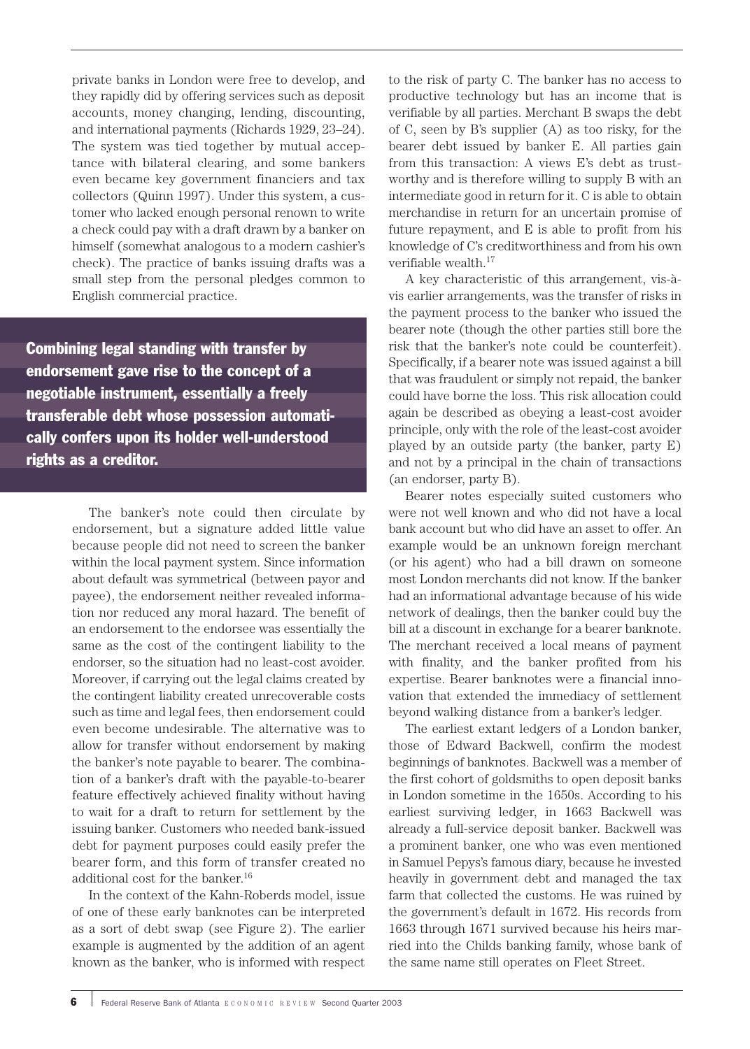private banks in London were free to develop, and they rapidly did by offering services such as deposit accounts, money changing, lending, discounting, and international payments (Richards 1929, 23–24). The system was tied together by mutual acceptance with bilateral clearing, and some bankers even became key government financiers and tax collectors (Quinn 1997). Under this system, a customer who lacked enough personal renown to write a check could pay with a draft drawn by a banker on himself (somewhat analogous to a modern cashier's check). The practice of banks issuing drafts was a small step from the personal pledges common to English commercial practice.

Combining legal standing with transfer by endorsement gave rise to the concept of a negotiable instrument, essentially a freely transferable debt whose possession automatically confers upon its holder well-understood rights as a creditor.

> The banker's note could then circulate by endorsement, but a signature added little value because people did not need to screen the banker within the local payment system. Since information about default was symmetrical (between payor and payee), the endorsement neither revealed information nor reduced any moral hazard. The benefit of an endorsement to the endorsee was essentially the same as the cost of the contingent liability to the endorser, so the situation had no least-cost avoider. Moreover, if carrying out the legal claims created by the contingent liability created unrecoverable costs such as time and legal fees, then endorsement could even become undesirable. The alternative was to allow for transfer without endorsement by making the banker's note payable to bearer. The combination of a banker's draft with the payable-to-bearer feature effectively achieved finality without having to wait for a draft to return for settlement by the issuing banker. Customers who needed bank-issued debt for payment purposes could easily prefer the bearer form, and this form of transfer created no additional cost for the banker.<sup>16</sup>

> In the context of the Kahn-Roberds model, issue of one of these early banknotes can be interpreted as a sort of debt swap (see Figure 2). The earlier example is augmented by the addition of an agent known as the banker, who is informed with respect

to the risk of party C. The banker has no access to productive technology but has an income that is verifiable by all parties. Merchant B swaps the debt of C, seen by B's supplier (A) as too risky, for the bearer debt issued by banker E. All parties gain from this transaction: A views E's debt as trustworthy and is therefore willing to supply B with an intermediate good in return for it. C is able to obtain merchandise in return for an uncertain promise of future repayment, and E is able to profit from his knowledge of C's creditworthiness and from his own verifiable wealth.17

A key characteristic of this arrangement, vis-àvis earlier arrangements, was the transfer of risks in the payment process to the banker who issued the bearer note (though the other parties still bore the risk that the banker's note could be counterfeit). Specifically, if a bearer note was issued against a bill that was fraudulent or simply not repaid, the banker could have borne the loss. This risk allocation could again be described as obeying a least-cost avoider principle, only with the role of the least-cost avoider played by an outside party (the banker, party E) and not by a principal in the chain of transactions (an endorser, party B).

Bearer notes especially suited customers who were not well known and who did not have a local bank account but who did have an asset to offer. An example would be an unknown foreign merchant (or his agent) who had a bill drawn on someone most London merchants did not know. If the banker had an informational advantage because of his wide network of dealings, then the banker could buy the bill at a discount in exchange for a bearer banknote. The merchant received a local means of payment with finality, and the banker profited from his expertise. Bearer banknotes were a financial innovation that extended the immediacy of settlement beyond walking distance from a banker's ledger.

The earliest extant ledgers of a London banker, those of Edward Backwell, confirm the modest beginnings of banknotes. Backwell was a member of the first cohort of goldsmiths to open deposit banks in London sometime in the 1650s. According to his earliest surviving ledger, in 1663 Backwell was already a full-service deposit banker. Backwell was a prominent banker, one who was even mentioned in Samuel Pepys's famous diary, because he invested heavily in government debt and managed the tax farm that collected the customs. He was ruined by the government's default in 1672. His records from 1663 through 1671 survived because his heirs married into the Childs banking family, whose bank of the same name still operates on Fleet Street.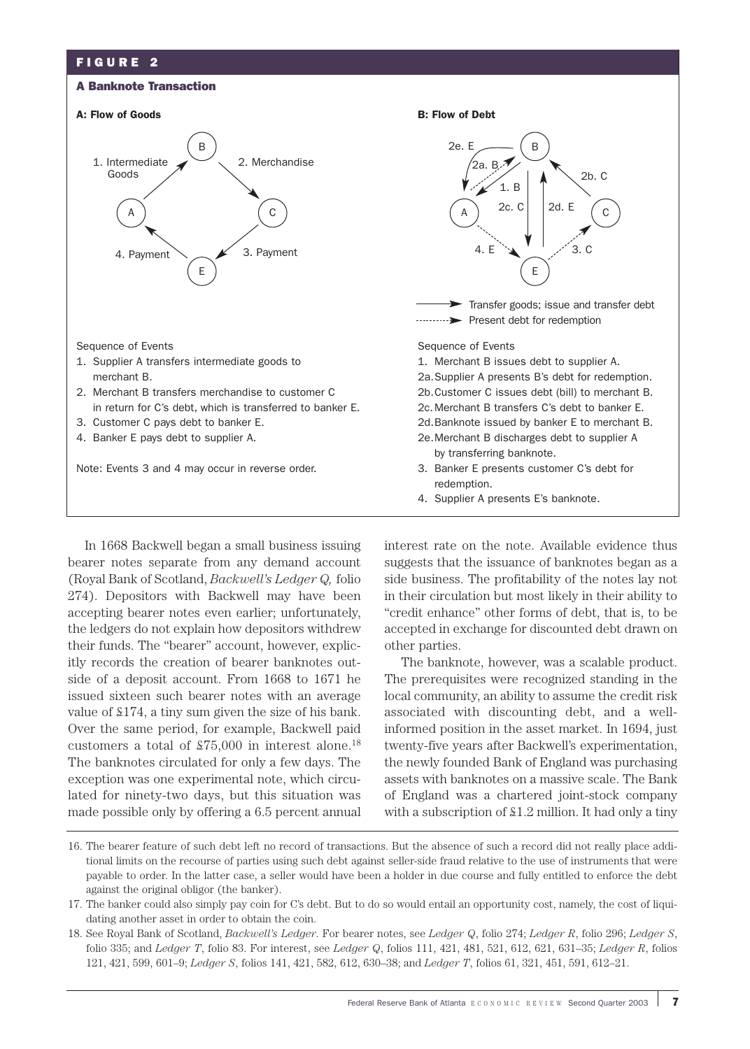# FIGURE 2

#### A Banknote Transaction





In 1668 Backwell began a small business issuing bearer notes separate from any demand account

(Royal Bank of Scotland, *Backwell's Ledger Q,* folio 274). Depositors with Backwell may have been accepting bearer notes even earlier; unfortunately, the ledgers do not explain how depositors withdrew their funds. The "bearer" account, however, explicitly records the creation of bearer banknotes outside of a deposit account. From 1668 to 1671 he issued sixteen such bearer notes with an average value of £174, a tiny sum given the size of his bank. Over the same period, for example, Backwell paid customers a total of £75,000 in interest alone.18 The banknotes circulated for only a few days. The exception was one experimental note, which circulated for ninety-two days, but this situation was made possible only by offering a 6.5 percent annual

by transferring banknote. Note: Events 3 and 4 may occur in reverse order. 3. Banker E presents customer C's debt for redemption. 4. Supplier A presents E's banknote. E 4. E  $\sim$   $\frac{1}{2}$   $\sqrt{3}$ . C B 2b. C  $1. B$ ,<br>2а. В. 2e. E  $\begin{bmatrix} 2 \end{bmatrix}$  2c. C 2d. E Transfer goods; issue and transfer debt ..........> Present debt for redemption

> interest rate on the note. Available evidence thus suggests that the issuance of banknotes began as a side business. The profitability of the notes lay not in their circulation but most likely in their ability to "credit enhance" other forms of debt, that is, to be accepted in exchange for discounted debt drawn on other parties.

> The banknote, however, was a scalable product. The prerequisites were recognized standing in the local community, an ability to assume the credit risk associated with discounting debt, and a wellinformed position in the asset market. In 1694, just twenty-five years after Backwell's experimentation, the newly founded Bank of England was purchasing assets with banknotes on a massive scale. The Bank of England was a chartered joint-stock company with a subscription of £1.2 million. It had only a tiny

<sup>16.</sup> The bearer feature of such debt left no record of transactions. But the absence of such a record did not really place additional limits on the recourse of parties using such debt against seller-side fraud relative to the use of instruments that were payable to order. In the latter case, a seller would have been a holder in due course and fully entitled to enforce the debt against the original obligor (the banker).

<sup>17.</sup> The banker could also simply pay coin for C's debt. But to do so would entail an opportunity cost, namely, the cost of liquidating another asset in order to obtain the coin.

<sup>18.</sup> See Royal Bank of Scotland, *Backwell's Ledger*. For bearer notes, see *Ledger Q*, folio 274; *Ledger R*, folio 296; *Ledger S*, folio 335; and *Ledger T*, folio 83. For interest, see *Ledger Q*, folios 111, 421, 481, 521, 612, 621, 631–35; *Ledger R*, folios 121, 421, 599, 601–9; *Ledger S*, folios 141, 421, 582, 612, 630–38; and *Ledger T*, folios 61, 321, 451, 591, 612–21.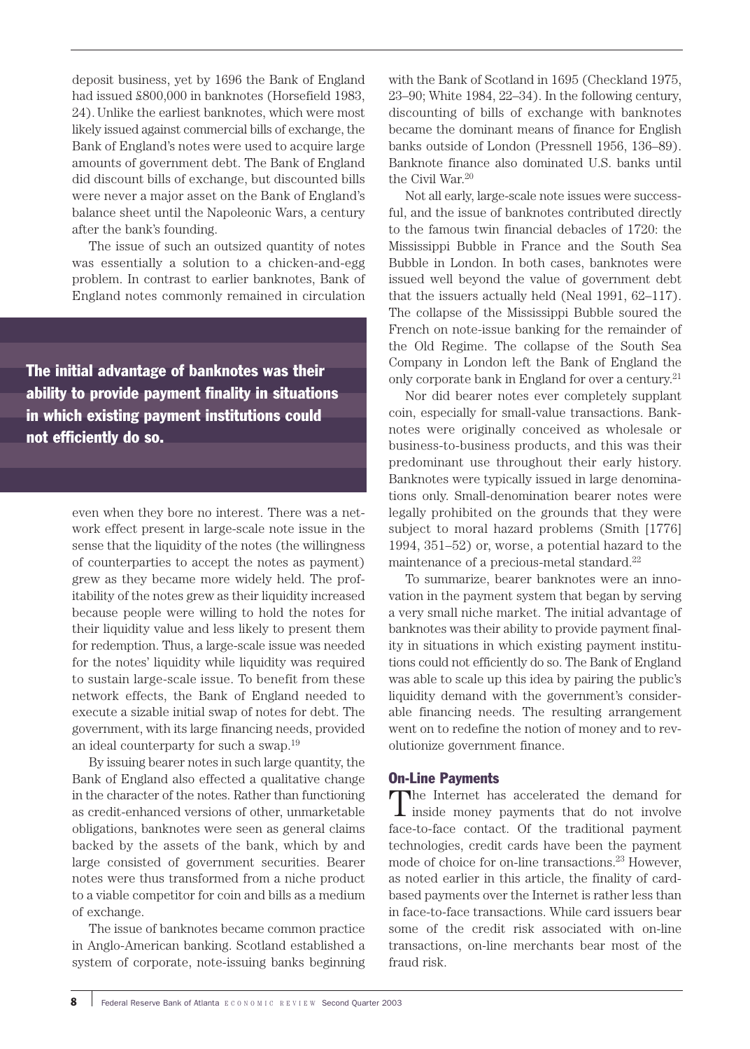deposit business, yet by 1696 the Bank of England had issued £800,000 in banknotes (Horsefield 1983, 24). Unlike the earliest banknotes, which were most likely issued against commercial bills of exchange, the Bank of England's notes were used to acquire large amounts of government debt. The Bank of England did discount bills of exchange, but discounted bills were never a major asset on the Bank of England's balance sheet until the Napoleonic Wars, a century after the bank's founding.

The issue of such an outsized quantity of notes was essentially a solution to a chicken-and-egg problem. In contrast to earlier banknotes, Bank of England notes commonly remained in circulation

The initial advantage of banknotes was their ability to provide payment finality in situations in which existing payment institutions could not efficiently do so.

> even when they bore no interest. There was a network effect present in large-scale note issue in the sense that the liquidity of the notes (the willingness of counterparties to accept the notes as payment) grew as they became more widely held. The profitability of the notes grew as their liquidity increased because people were willing to hold the notes for their liquidity value and less likely to present them for redemption. Thus, a large-scale issue was needed for the notes' liquidity while liquidity was required to sustain large-scale issue. To benefit from these network effects, the Bank of England needed to execute a sizable initial swap of notes for debt. The government, with its large financing needs, provided an ideal counterparty for such a swap.19

> By issuing bearer notes in such large quantity, the Bank of England also effected a qualitative change in the character of the notes. Rather than functioning as credit-enhanced versions of other, unmarketable obligations, banknotes were seen as general claims backed by the assets of the bank, which by and large consisted of government securities. Bearer notes were thus transformed from a niche product to a viable competitor for coin and bills as a medium of exchange.

> The issue of banknotes became common practice in Anglo-American banking. Scotland established a system of corporate, note-issuing banks beginning

with the Bank of Scotland in 1695 (Checkland 1975, 23–90; White 1984, 22–34). In the following century, discounting of bills of exchange with banknotes became the dominant means of finance for English banks outside of London (Pressnell 1956, 136–89). Banknote finance also dominated U.S. banks until the Civil War.20

Not all early, large-scale note issues were successful, and the issue of banknotes contributed directly to the famous twin financial debacles of 1720: the Mississippi Bubble in France and the South Sea Bubble in London. In both cases, banknotes were issued well beyond the value of government debt that the issuers actually held (Neal 1991, 62–117). The collapse of the Mississippi Bubble soured the French on note-issue banking for the remainder of the Old Regime. The collapse of the South Sea Company in London left the Bank of England the only corporate bank in England for over a century.21

Nor did bearer notes ever completely supplant coin, especially for small-value transactions. Banknotes were originally conceived as wholesale or business-to-business products, and this was their predominant use throughout their early history. Banknotes were typically issued in large denominations only. Small-denomination bearer notes were legally prohibited on the grounds that they were subject to moral hazard problems (Smith [1776] 1994, 351–52) or, worse, a potential hazard to the maintenance of a precious-metal standard.<sup>22</sup>

To summarize, bearer banknotes were an innovation in the payment system that began by serving a very small niche market. The initial advantage of banknotes was their ability to provide payment finality in situations in which existing payment institutions could not efficiently do so. The Bank of England was able to scale up this idea by pairing the public's liquidity demand with the government's considerable financing needs. The resulting arrangement went on to redefine the notion of money and to revolutionize government finance.

### On-Line Payments

The Internet has accelerated the demand for inside money payments that do not involve face-to-face contact. Of the traditional payment technologies, credit cards have been the payment mode of choice for on-line transactions.<sup>23</sup> However, as noted earlier in this article, the finality of cardbased payments over the Internet is rather less than in face-to-face transactions. While card issuers bear some of the credit risk associated with on-line transactions, on-line merchants bear most of the fraud risk.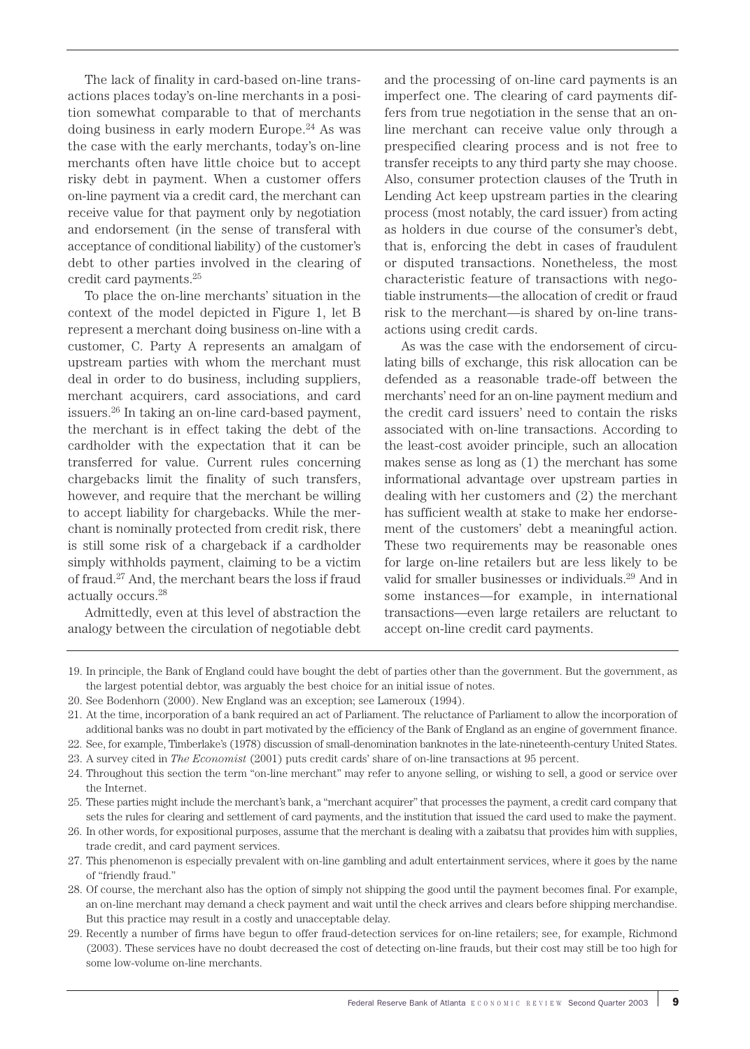The lack of finality in card-based on-line transactions places today's on-line merchants in a position somewhat comparable to that of merchants doing business in early modern Europe.<sup>24</sup> As was the case with the early merchants, today's on-line merchants often have little choice but to accept risky debt in payment. When a customer offers on-line payment via a credit card, the merchant can receive value for that payment only by negotiation and endorsement (in the sense of transferal with acceptance of conditional liability) of the customer's debt to other parties involved in the clearing of credit card payments.25

To place the on-line merchants' situation in the context of the model depicted in Figure 1, let B represent a merchant doing business on-line with a customer, C. Party A represents an amalgam of upstream parties with whom the merchant must deal in order to do business, including suppliers, merchant acquirers, card associations, and card issuers.26 In taking an on-line card-based payment, the merchant is in effect taking the debt of the cardholder with the expectation that it can be transferred for value. Current rules concerning chargebacks limit the finality of such transfers, however, and require that the merchant be willing to accept liability for chargebacks. While the merchant is nominally protected from credit risk, there is still some risk of a chargeback if a cardholder simply withholds payment, claiming to be a victim of fraud.27 And, the merchant bears the loss if fraud actually occurs.28

Admittedly, even at this level of abstraction the analogy between the circulation of negotiable debt and the processing of on-line card payments is an imperfect one. The clearing of card payments differs from true negotiation in the sense that an online merchant can receive value only through a prespecified clearing process and is not free to transfer receipts to any third party she may choose. Also, consumer protection clauses of the Truth in Lending Act keep upstream parties in the clearing process (most notably, the card issuer) from acting as holders in due course of the consumer's debt, that is, enforcing the debt in cases of fraudulent or disputed transactions. Nonetheless, the most characteristic feature of transactions with negotiable instruments—the allocation of credit or fraud risk to the merchant—is shared by on-line transactions using credit cards.

As was the case with the endorsement of circulating bills of exchange, this risk allocation can be defended as a reasonable trade-off between the merchants' need for an on-line payment medium and the credit card issuers' need to contain the risks associated with on-line transactions. According to the least-cost avoider principle, such an allocation makes sense as long as (1) the merchant has some informational advantage over upstream parties in dealing with her customers and (2) the merchant has sufficient wealth at stake to make her endorsement of the customers' debt a meaningful action. These two requirements may be reasonable ones for large on-line retailers but are less likely to be valid for smaller businesses or individuals.29 And in some instances—for example, in international transactions—even large retailers are reluctant to accept on-line credit card payments.

<sup>19.</sup> In principle, the Bank of England could have bought the debt of parties other than the government. But the government, as the largest potential debtor, was arguably the best choice for an initial issue of notes.

<sup>20.</sup> See Bodenhorn (2000). New England was an exception; see Lameroux (1994).

<sup>21.</sup> At the time, incorporation of a bank required an act of Parliament. The reluctance of Parliament to allow the incorporation of additional banks was no doubt in part motivated by the efficiency of the Bank of England as an engine of government finance.

<sup>22.</sup> See, for example, Timberlake's (1978) discussion of small-denomination banknotes in the late-nineteenth-century United States.

<sup>23.</sup> A survey cited in *The Economist* (2001) puts credit cards' share of on-line transactions at 95 percent.

<sup>24.</sup> Throughout this section the term "on-line merchant" may refer to anyone selling, or wishing to sell, a good or service over the Internet.

<sup>25.</sup> These parties might include the merchant's bank, a "merchant acquirer" that processes the payment, a credit card company that sets the rules for clearing and settlement of card payments, and the institution that issued the card used to make the payment.

<sup>26.</sup> In other words, for expositional purposes, assume that the merchant is dealing with a zaibatsu that provides him with supplies, trade credit, and card payment services.

<sup>27.</sup> This phenomenon is especially prevalent with on-line gambling and adult entertainment services, where it goes by the name of "friendly fraud."

<sup>28.</sup> Of course, the merchant also has the option of simply not shipping the good until the payment becomes final. For example, an on-line merchant may demand a check payment and wait until the check arrives and clears before shipping merchandise. But this practice may result in a costly and unacceptable delay.

<sup>29.</sup> Recently a number of firms have begun to offer fraud-detection services for on-line retailers; see, for example, Richmond (2003). These services have no doubt decreased the cost of detecting on-line frauds, but their cost may still be too high for some low-volume on-line merchants.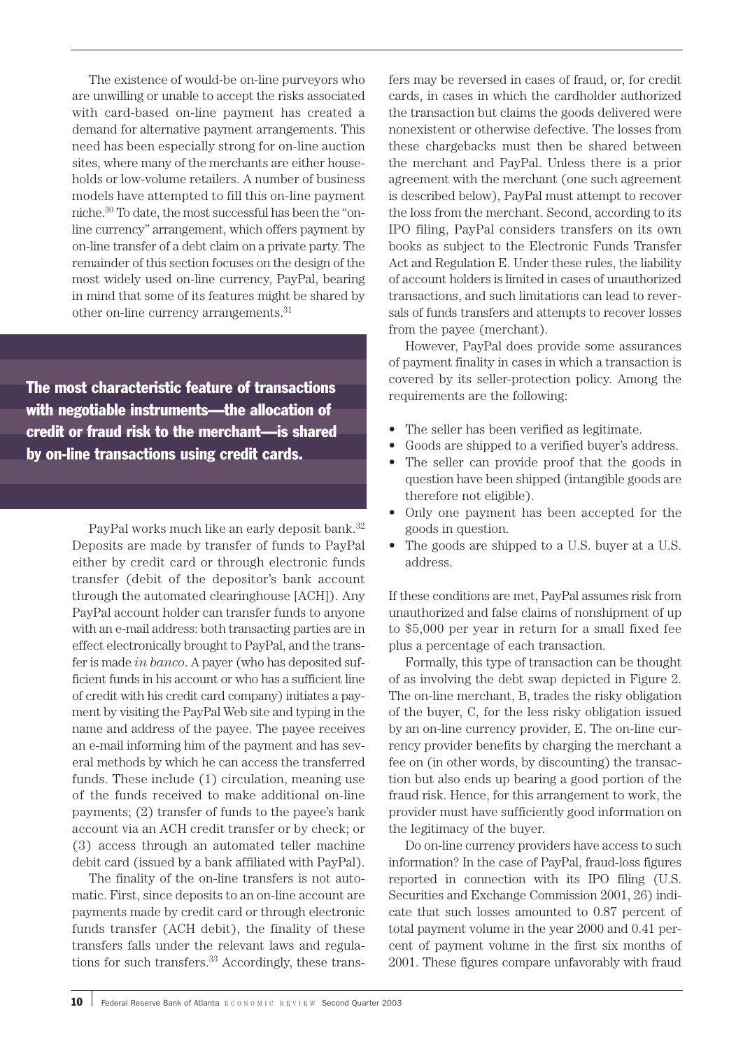The existence of would-be on-line purveyors who are unwilling or unable to accept the risks associated with card-based on-line payment has created a demand for alternative payment arrangements. This need has been especially strong for on-line auction sites, where many of the merchants are either households or low-volume retailers. A number of business models have attempted to fill this on-line payment niche.30 To date, the most successful has been the "online currency" arrangement, which offers payment by on-line transfer of a debt claim on a private party. The remainder of this section focuses on the design of the most widely used on-line currency, PayPal, bearing in mind that some of its features might be shared by other on-line currency arrangements.31

The most characteristic feature of transactions with negotiable instruments—the allocation of credit or fraud risk to the merchant—is shared by on-line transactions using credit cards.

> PayPal works much like an early deposit bank.<sup>32</sup> Deposits are made by transfer of funds to PayPal either by credit card or through electronic funds transfer (debit of the depositor's bank account through the automated clearinghouse [ACH]). Any PayPal account holder can transfer funds to anyone with an e-mail address: both transacting parties are in effect electronically brought to PayPal, and the transfer is made *in banco*. A payer (who has deposited sufficient funds in his account or who has a sufficient line of credit with his credit card company) initiates a payment by visiting the PayPal Web site and typing in the name and address of the payee. The payee receives an e-mail informing him of the payment and has several methods by which he can access the transferred funds. These include (1) circulation, meaning use of the funds received to make additional on-line payments; (2) transfer of funds to the payee's bank account via an ACH credit transfer or by check; or (3) access through an automated teller machine debit card (issued by a bank affiliated with PayPal).

> The finality of the on-line transfers is not automatic. First, since deposits to an on-line account are payments made by credit card or through electronic funds transfer (ACH debit), the finality of these transfers falls under the relevant laws and regulations for such transfers.<sup>33</sup> Accordingly, these trans

fers may be reversed in cases of fraud, or, for credit cards, in cases in which the cardholder authorized the transaction but claims the goods delivered were nonexistent or otherwise defective. The losses from these chargebacks must then be shared between the merchant and PayPal. Unless there is a prior agreement with the merchant (one such agreement is described below), PayPal must attempt to recover the loss from the merchant. Second, according to its IPO filing, PayPal considers transfers on its own books as subject to the Electronic Funds Transfer Act and Regulation E. Under these rules, the liability of account holders is limited in cases of unauthorized transactions, and such limitations can lead to reversals of funds transfers and attempts to recover losses from the payee (merchant).

However, PayPal does provide some assurances of payment finality in cases in which a transaction is covered by its seller-protection policy. Among the requirements are the following:

- The seller has been verified as legitimate.
- Goods are shipped to a verified buyer's address.
- The seller can provide proof that the goods in question have been shipped (intangible goods are therefore not eligible).
- Only one payment has been accepted for the goods in question.
- The goods are shipped to a U.S. buyer at a U.S. address.

If these conditions are met, PayPal assumes risk from unauthorized and false claims of nonshipment of up to \$5,000 per year in return for a small fixed fee plus a percentage of each transaction.

Formally, this type of transaction can be thought of as involving the debt swap depicted in Figure 2. The on-line merchant, B, trades the risky obligation of the buyer, C, for the less risky obligation issued by an on-line currency provider, E. The on-line currency provider benefits by charging the merchant a fee on (in other words, by discounting) the transaction but also ends up bearing a good portion of the fraud risk. Hence, for this arrangement to work, the provider must have sufficiently good information on the legitimacy of the buyer.

Do on-line currency providers have access to such information? In the case of PayPal, fraud-loss figures reported in connection with its IPO filing (U.S. Securities and Exchange Commission 2001, 26) indicate that such losses amounted to 0.87 percent of total payment volume in the year 2000 and 0.41 percent of payment volume in the first six months of 2001. These figures compare unfavorably with fraud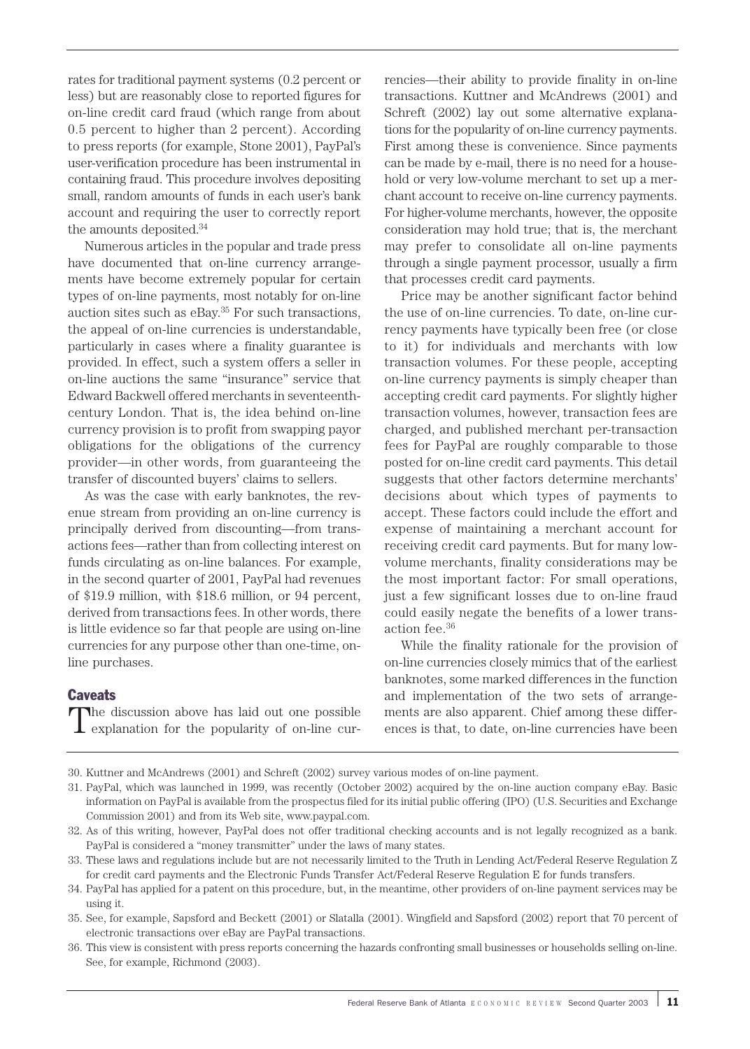rates for traditional payment systems (0.2 percent or less) but are reasonably close to reported figures for on-line credit card fraud (which range from about 0.5 percent to higher than 2 percent). According to press reports (for example, Stone 2001), PayPal's user-verification procedure has been instrumental in containing fraud. This procedure involves depositing small, random amounts of funds in each user's bank account and requiring the user to correctly report the amounts deposited.34

Numerous articles in the popular and trade press have documented that on-line currency arrangements have become extremely popular for certain types of on-line payments, most notably for on-line auction sites such as eBay.35 For such transactions, the appeal of on-line currencies is understandable, particularly in cases where a finality guarantee is provided. In effect, such a system offers a seller in on-line auctions the same "insurance" service that Edward Backwell offered merchants in seventeenthcentury London. That is, the idea behind on-line currency provision is to profit from swapping payor obligations for the obligations of the currency provider—in other words, from guaranteeing the transfer of discounted buyers' claims to sellers.

As was the case with early banknotes, the revenue stream from providing an on-line currency is principally derived from discounting—from transactions fees—rather than from collecting interest on funds circulating as on-line balances. For example, in the second quarter of 2001, PayPal had revenues of \$19.9 million, with \$18.6 million, or 94 percent, derived from transactions fees. In other words, there is little evidence so far that people are using on-line currencies for any purpose other than one-time, online purchases.

### **Caveats**

The discussion above has laid out one possible<br>explanation for the popularity of on-line cur-

rencies—their ability to provide finality in on-line transactions. Kuttner and McAndrews (2001) and Schreft (2002) lay out some alternative explanations for the popularity of on-line currency payments. First among these is convenience. Since payments can be made by e-mail, there is no need for a household or very low-volume merchant to set up a merchant account to receive on-line currency payments. For higher-volume merchants, however, the opposite consideration may hold true; that is, the merchant may prefer to consolidate all on-line payments through a single payment processor, usually a firm that processes credit card payments.

Price may be another significant factor behind the use of on-line currencies. To date, on-line currency payments have typically been free (or close to it) for individuals and merchants with low transaction volumes. For these people, accepting on-line currency payments is simply cheaper than accepting credit card payments. For slightly higher transaction volumes, however, transaction fees are charged, and published merchant per-transaction fees for PayPal are roughly comparable to those posted for on-line credit card payments. This detail suggests that other factors determine merchants' decisions about which types of payments to accept. These factors could include the effort and expense of maintaining a merchant account for receiving credit card payments. But for many lowvolume merchants, finality considerations may be the most important factor: For small operations, just a few significant losses due to on-line fraud could easily negate the benefits of a lower transaction fee.36

While the finality rationale for the provision of on-line currencies closely mimics that of the earliest banknotes, some marked differences in the function and implementation of the two sets of arrangements are also apparent. Chief among these differences is that, to date, on-line currencies have been

34. PayPal has applied for a patent on this procedure, but, in the meantime, other providers of on-line payment services may be using it.

36. This view is consistent with press reports concerning the hazards confronting small businesses or households selling on-line. See, for example, Richmond (2003).

<sup>30.</sup> Kuttner and McAndrews (2001) and Schreft (2002) survey various modes of on-line payment.

<sup>31.</sup> PayPal, which was launched in 1999, was recently (October 2002) acquired by the on-line auction company eBay. Basic information on PayPal is available from the prospectus filed for its initial public offering (IPO) (U.S. Securities and Exchange Commission 2001) and from its Web site, www.paypal.com.

<sup>32.</sup> As of this writing, however, PayPal does not offer traditional checking accounts and is not legally recognized as a bank. PayPal is considered a "money transmitter" under the laws of many states.

<sup>33.</sup> These laws and regulations include but are not necessarily limited to the Truth in Lending Act/Federal Reserve Regulation Z for credit card payments and the Electronic Funds Transfer Act/Federal Reserve Regulation E for funds transfers.

<sup>35.</sup> See, for example, Sapsford and Beckett (2001) or Slatalla (2001). Wingfield and Sapsford (2002) report that 70 percent of electronic transactions over eBay are PayPal transactions.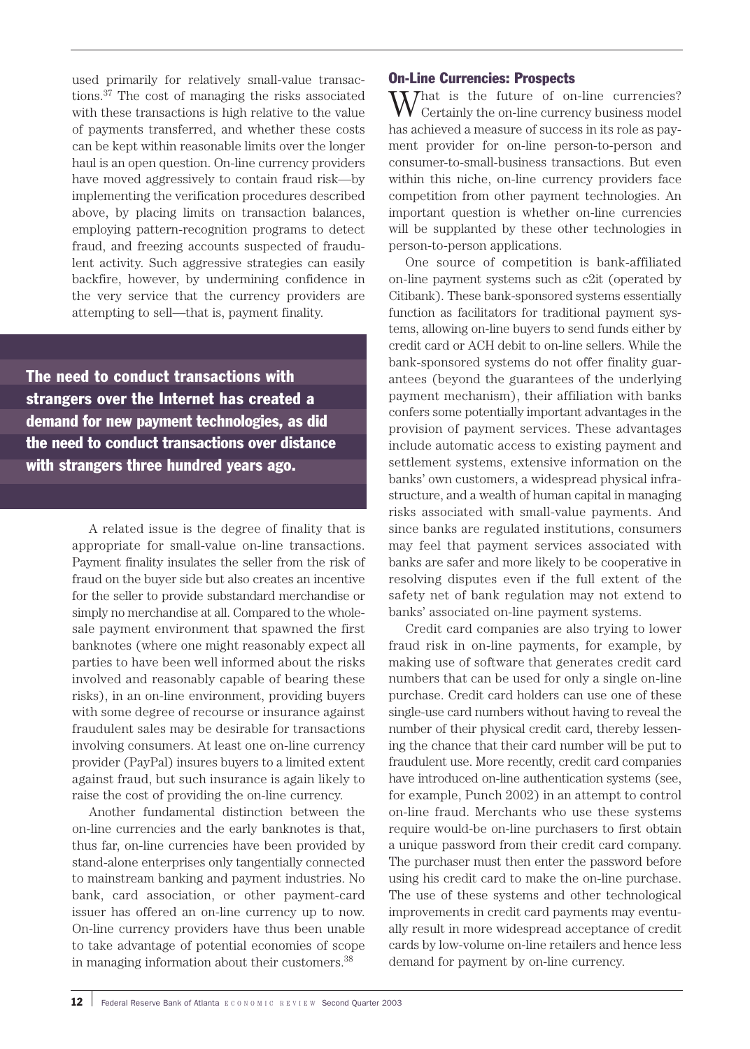used primarily for relatively small-value transactions.37 The cost of managing the risks associated with these transactions is high relative to the value of payments transferred, and whether these costs can be kept within reasonable limits over the longer haul is an open question. On-line currency providers have moved aggressively to contain fraud risk—by implementing the verification procedures described above, by placing limits on transaction balances, employing pattern-recognition programs to detect fraud, and freezing accounts suspected of fraudulent activity. Such aggressive strategies can easily backfire, however, by undermining confidence in the very service that the currency providers are attempting to sell—that is, payment finality.

The need to conduct transactions with strangers over the Internet has created a demand for new payment technologies, as did the need to conduct transactions over distance with strangers three hundred years ago.

> A related issue is the degree of finality that is appropriate for small-value on-line transactions. Payment finality insulates the seller from the risk of fraud on the buyer side but also creates an incentive for the seller to provide substandard merchandise or simply no merchandise at all. Compared to the wholesale payment environment that spawned the first banknotes (where one might reasonably expect all parties to have been well informed about the risks involved and reasonably capable of bearing these risks), in an on-line environment, providing buyers with some degree of recourse or insurance against fraudulent sales may be desirable for transactions involving consumers. At least one on-line currency provider (PayPal) insures buyers to a limited extent against fraud, but such insurance is again likely to raise the cost of providing the on-line currency.

> Another fundamental distinction between the on-line currencies and the early banknotes is that, thus far, on-line currencies have been provided by stand-alone enterprises only tangentially connected to mainstream banking and payment industries. No bank, card association, or other payment-card issuer has offered an on-line currency up to now. On-line currency providers have thus been unable to take advantage of potential economies of scope in managing information about their customers.38

# On-Line Currencies: Prospects

 $\sum$  hat is the future of on-line currencies? Certainly the on-line currency business model has achieved a measure of success in its role as payment provider for on-line person-to-person and consumer-to-small-business transactions. But even within this niche, on-line currency providers face competition from other payment technologies. An important question is whether on-line currencies will be supplanted by these other technologies in person-to-person applications.

One source of competition is bank-affiliated on-line payment systems such as c2it (operated by Citibank). These bank-sponsored systems essentially function as facilitators for traditional payment systems, allowing on-line buyers to send funds either by credit card or ACH debit to on-line sellers. While the bank-sponsored systems do not offer finality guarantees (beyond the guarantees of the underlying payment mechanism), their affiliation with banks confers some potentially important advantages in the provision of payment services. These advantages include automatic access to existing payment and settlement systems, extensive information on the banks' own customers, a widespread physical infrastructure, and a wealth of human capital in managing risks associated with small-value payments. And since banks are regulated institutions, consumers may feel that payment services associated with banks are safer and more likely to be cooperative in resolving disputes even if the full extent of the safety net of bank regulation may not extend to banks' associated on-line payment systems.

Credit card companies are also trying to lower fraud risk in on-line payments, for example, by making use of software that generates credit card numbers that can be used for only a single on-line purchase. Credit card holders can use one of these single-use card numbers without having to reveal the number of their physical credit card, thereby lessening the chance that their card number will be put to fraudulent use. More recently, credit card companies have introduced on-line authentication systems (see, for example, Punch 2002) in an attempt to control on-line fraud. Merchants who use these systems require would-be on-line purchasers to first obtain a unique password from their credit card company. The purchaser must then enter the password before using his credit card to make the on-line purchase. The use of these systems and other technological improvements in credit card payments may eventually result in more widespread acceptance of credit cards by low-volume on-line retailers and hence less demand for payment by on-line currency.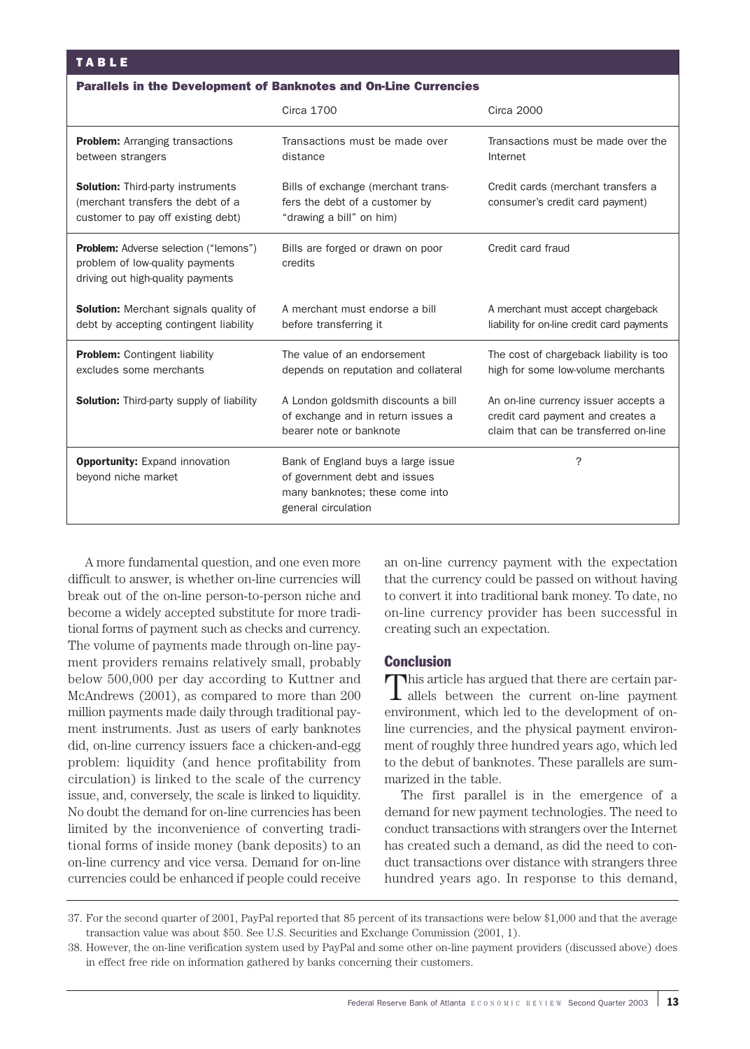#### Parallels in the Development of Banknotes and On-Line Currencies

|                                                                                                                      | Circa 1700                                                                                                                    | Circa 2000                                                                                                         |
|----------------------------------------------------------------------------------------------------------------------|-------------------------------------------------------------------------------------------------------------------------------|--------------------------------------------------------------------------------------------------------------------|
| <b>Problem:</b> Arranging transactions<br>between strangers                                                          | Transactions must be made over<br>distance                                                                                    | Transactions must be made over the<br>Internet                                                                     |
| <b>Solution:</b> Third-party instruments<br>(merchant transfers the debt of a<br>customer to pay off existing debt)  | Bills of exchange (merchant trans-<br>fers the debt of a customer by<br>"drawing a bill" on him)                              | Credit cards (merchant transfers a<br>consumer's credit card payment)                                              |
| <b>Problem:</b> Adverse selection ("lemons")<br>problem of low-quality payments<br>driving out high-quality payments | Bills are forged or drawn on poor<br>credits                                                                                  | Credit card fraud                                                                                                  |
| <b>Solution:</b> Merchant signals quality of<br>debt by accepting contingent liability                               | A merchant must endorse a bill<br>before transferring it                                                                      | A merchant must accept chargeback<br>liability for on-line credit card payments                                    |
| <b>Problem:</b> Contingent liability<br>excludes some merchants                                                      | The value of an endorsement<br>depends on reputation and collateral                                                           | The cost of chargeback liability is too<br>high for some low-volume merchants                                      |
| <b>Solution:</b> Third-party supply of liability                                                                     | A London goldsmith discounts a bill<br>of exchange and in return issues a<br>bearer note or banknote                          | An on-line currency issuer accepts a<br>credit card payment and creates a<br>claim that can be transferred on-line |
| <b>Opportunity:</b> Expand innovation<br>beyond niche market                                                         | Bank of England buys a large issue<br>of government debt and issues<br>many banknotes; these come into<br>general circulation | ?                                                                                                                  |

A more fundamental question, and one even more difficult to answer, is whether on-line currencies will break out of the on-line person-to-person niche and become a widely accepted substitute for more traditional forms of payment such as checks and currency. The volume of payments made through on-line payment providers remains relatively small, probably below 500,000 per day according to Kuttner and McAndrews (2001), as compared to more than 200 million payments made daily through traditional payment instruments. Just as users of early banknotes did, on-line currency issuers face a chicken-and-egg problem: liquidity (and hence profitability from circulation) is linked to the scale of the currency issue, and, conversely, the scale is linked to liquidity. No doubt the demand for on-line currencies has been limited by the inconvenience of converting traditional forms of inside money (bank deposits) to an on-line currency and vice versa. Demand for on-line currencies could be enhanced if people could receive

an on-line currency payment with the expectation that the currency could be passed on without having to convert it into traditional bank money. To date, no on-line currency provider has been successful in creating such an expectation.

# **Conclusion**

This article has argued that there are certain par-I allels between the current on-line payment environment, which led to the development of online currencies, and the physical payment environment of roughly three hundred years ago, which led to the debut of banknotes. These parallels are summarized in the table.

The first parallel is in the emergence of a demand for new payment technologies. The need to conduct transactions with strangers over the Internet has created such a demand, as did the need to conduct transactions over distance with strangers three hundred years ago. In response to this demand,

<sup>37.</sup> For the second quarter of 2001, PayPal reported that 85 percent of its transactions were below \$1,000 and that the average transaction value was about \$50. See U.S. Securities and Exchange Commission (2001, 1).

<sup>38.</sup> However, the on-line verification system used by PayPal and some other on-line payment providers (discussed above) does in effect free ride on information gathered by banks concerning their customers.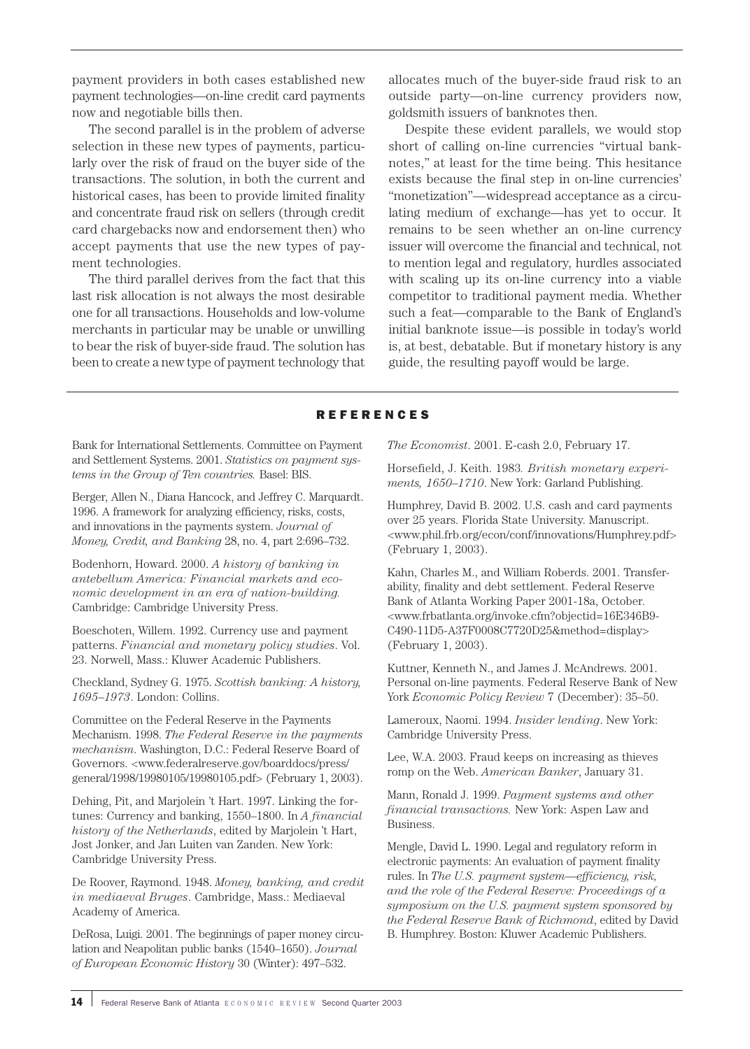payment providers in both cases established new payment technologies—on-line credit card payments now and negotiable bills then.

The second parallel is in the problem of adverse selection in these new types of payments, particularly over the risk of fraud on the buyer side of the transactions. The solution, in both the current and historical cases, has been to provide limited finality and concentrate fraud risk on sellers (through credit card chargebacks now and endorsement then) who accept payments that use the new types of payment technologies.

The third parallel derives from the fact that this last risk allocation is not always the most desirable one for all transactions. Households and low-volume merchants in particular may be unable or unwilling to bear the risk of buyer-side fraud. The solution has been to create a new type of payment technology that allocates much of the buyer-side fraud risk to an outside party—on-line currency providers now, goldsmith issuers of banknotes then.

Despite these evident parallels, we would stop short of calling on-line currencies "virtual banknotes," at least for the time being. This hesitance exists because the final step in on-line currencies' "monetization"—widespread acceptance as a circulating medium of exchange—has yet to occur. It remains to be seen whether an on-line currency issuer will overcome the financial and technical, not to mention legal and regulatory, hurdles associated with scaling up its on-line currency into a viable competitor to traditional payment media. Whether such a feat—comparable to the Bank of England's initial banknote issue—is possible in today's world is, at best, debatable. But if monetary history is any guide, the resulting payoff would be large.

### **REFERENCES**

Bank for International Settlements. Committee on Payment and Settlement Systems. 2001. *Statistics on payment systems in the Group of Ten countries.* Basel: BIS.

Berger, Allen N., Diana Hancock, and Jeffrey C. Marquardt. 1996. A framework for analyzing efficiency, risks, costs, and innovations in the payments system. *Journal of Money, Credit, and Banking* 28, no. 4, part 2:696–732.

Bodenhorn, Howard. 2000. *A history of banking in antebellum America: Financial markets and economic development in an era of nation-building.* Cambridge: Cambridge University Press.

Boeschoten, Willem. 1992. Currency use and payment patterns. *Financial and monetary policy studies*. Vol. 23. Norwell, Mass.: Kluwer Academic Publishers.

Checkland, Sydney G. 1975. *Scottish banking: A history, 1695–1973*. London: Collins.

Committee on the Federal Reserve in the Payments Mechanism. 1998. *The Federal Reserve in the payments mechanism*. Washington, D.C.: Federal Reserve Board of Governors. <www.federalreserve.gov/boarddocs/press/ general/1998/19980105/19980105.pdf> (February 1, 2003).

Dehing, Pit, and Marjolein 't Hart. 1997. Linking the fortunes: Currency and banking, 1550–1800. In *A financial history of the Netherlands*, edited by Marjolein 't Hart, Jost Jonker, and Jan Luiten van Zanden. New York: Cambridge University Press.

De Roover, Raymond. 1948. *Money, banking, and credit in mediaeval Bruges*. Cambridge, Mass.: Mediaeval Academy of America.

DeRosa, Luigi. 2001. The beginnings of paper money circulation and Neapolitan public banks (1540–1650). *Journal of European Economic History* 30 (Winter): 497–532.

*The Economist*. 2001. E-cash 2.0, February 17.

Horsefield, J. Keith. 1983*. British monetary experiments, 1650–1710*. New York: Garland Publishing.

Humphrey, David B. 2002. U.S. cash and card payments over 25 years. Florida State University. Manuscript. <www.phil.frb.org/econ/conf/innovations/Humphrey.pdf> (February 1, 2003).

Kahn, Charles M., and William Roberds. 2001. Transferability, finality and debt settlement. Federal Reserve Bank of Atlanta Working Paper 2001-18a, October. <www.frbatlanta.org/invoke.cfm?objectid=16E346B9- C490-11D5-A37F0008C7720D25&method=display> (February 1, 2003).

Kuttner, Kenneth N., and James J. McAndrews. 2001. Personal on-line payments. Federal Reserve Bank of New York *Economic Policy Review* 7 (December): 35–50.

Lameroux, Naomi. 1994. *Insider lending*. New York: Cambridge University Press.

Lee, W.A. 2003. Fraud keeps on increasing as thieves romp on the Web. *American Banker*, January 31.

Mann, Ronald J. 1999. *Payment systems and other financial transactions.* New York: Aspen Law and Business.

Mengle, David L. 1990. Legal and regulatory reform in electronic payments: An evaluation of payment finality rules. In *The U.S. payment system—efficiency, risk, and the role of the Federal Reserve: Proceedings of a symposium on the U.S. payment system sponsored by the Federal Reserve Bank of Richmond*, edited by David B. Humphrey. Boston: Kluwer Academic Publishers.